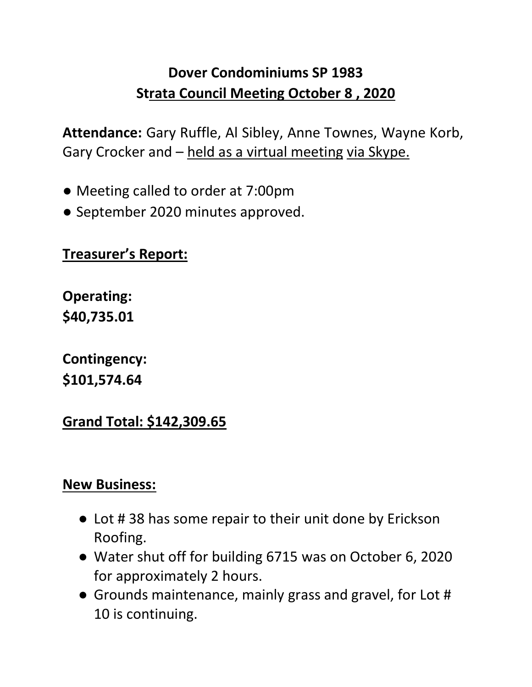## **Dover Condominiums SP 1983 Strata Council Meeting October 8 , 2020**

**Attendance:** Gary Ruffle, Al Sibley, Anne Townes, Wayne Korb, Gary Crocker and – held as a virtual meeting via Skype.

- Meeting called to order at 7:00pm
- September 2020 minutes approved.

## **Treasurer's Report:**

**Operating: \$40,735.01** 

**Contingency: \$101,574.64** 

**Grand Total: \$142,309.65**

## **New Business:**

- Lot # 38 has some repair to their unit done by Erickson Roofing.
- Water shut off for building 6715 was on October 6, 2020 for approximately 2 hours.
- Grounds maintenance, mainly grass and gravel, for Lot # 10 is continuing.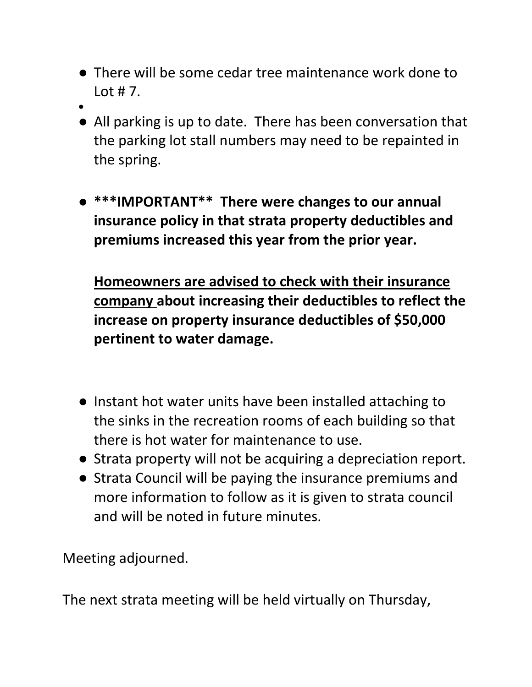- There will be some cedar tree maintenance work done to  $\cot$  # 7.
- ●
- All parking is up to date. There has been conversation that the parking lot stall numbers may need to be repainted in the spring.
- **\*\*\*IMPORTANT\*\* There were changes to our annual insurance policy in that strata property deductibles and premiums increased this year from the prior year.**

**Homeowners are advised to check with their insurance company about increasing their deductibles to reflect the increase on property insurance deductibles of \$50,000 pertinent to water damage.**

- Instant hot water units have been installed attaching to the sinks in the recreation rooms of each building so that there is hot water for maintenance to use.
- Strata property will not be acquiring a depreciation report.
- Strata Council will be paying the insurance premiums and more information to follow as it is given to strata council and will be noted in future minutes.

Meeting adjourned.

The next strata meeting will be held virtually on Thursday,